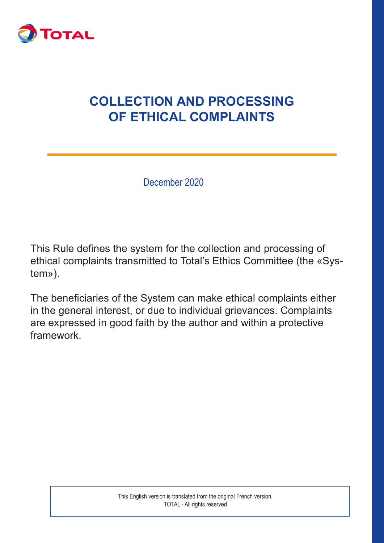

# **COLLECTION AND PROCESSING OF ETHICAL COMPLAINTS**

December 2020

This Rule defines the system for the collection and processing of ethical complaints transmitted to Total's Ethics Committee (the «System»).

The beneficiaries of the System can make ethical complaints either in the general interest, or due to individual grievances. Complaints are expressed in good faith by the author and within a protective framework.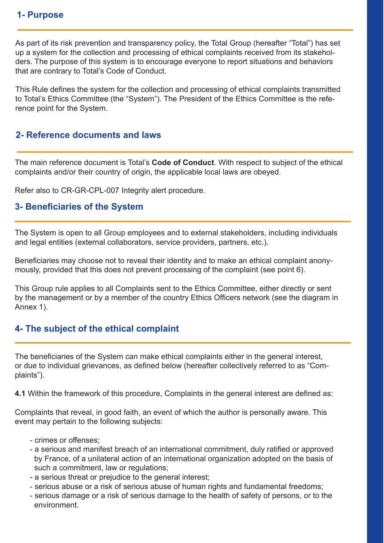As part of its risk prevention and transparency policy, the Total Group (hereafter "Total") has set up a system for the collection and processing of ethical complaints received from its stakeholders. The purpose of this system is to encourage everyone to report situations and behaviors that are contrary to Total's Code of Conduct.

This Rule defines the system for the collection and processing of ethical complaints transmitted to Total's Ethics Committee (the "System"). The President of the Ethics Committee is the reference point for the System.

#### **2- Reference documents and laws**

The main reference document is Total's **Code of Conduct**. With respect to subject of the ethical complaints and/or their country of origin, the applicable local laws are obeyed.

Refer also to CR-GR-CPL-007 Integrity alert procedure.

#### **3- Beneficiaries of the System**

The System is open to all Group employees and to external stakeholders, including individuals and legal entities (external collaborators, service providers, partners, etc.).

Beneficiaries may choose not to reveal their identity and to make an ethical complaint anonymously, provided that this does not prevent processing of the complaint (see point 6).

This Group rule applies to all Complaints sent to the Ethics Committee, either directly or sent by the management or by a member of the country Ethics Officers network (see the diagram in Annex 1).

#### **4- The subject of the ethical complaint**

The beneficiaries of the System can make ethical complaints either in the general interest, or due to individual grievances, as defined below (hereafter collectively referred to as "Complaints").

**4.1** Within the framework of this procedure, Complaints in the general interest are defined as:

Complaints that reveal, in good faith, an event of which the author is personally aware. This event may pertain to the following subjects:

- crimes or offenses;
- a serious and manifest breach of an international commitment, duly ratified or approved by France, of a unilateral action of an international organization adopted on the basis of such a commitment, law or regulations;
- a serious threat or prejudice to the general interest;
- serious abuse or a risk of serious abuse of human rights and fundamental freedoms;
- serious damage or a risk of serious damage to the health of safety of persons, or to the environment.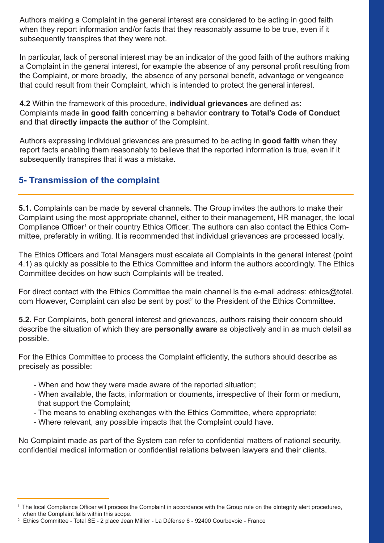Authors making a Complaint in the general interest are considered to be acting in good faith when they report information and/or facts that they reasonably assume to be true, even if it subsequently transpires that they were not.

In particular, lack of personal interest may be an indicator of the good faith of the authors making a Complaint in the general interest, for example the absence of any personal profit resulting from the Complaint, or more broadly, the absence of any personal benefit, advantage or vengeance that could result from their Complaint, which is intended to protect the general interest.

**4.2** Within the framework of this procedure, **individual grievances** are defined as**:** Complaints made **in good faith** concerning a behavior **contrary to Total's Code of Conduct**  and that **directly impacts the author** of the Complaint.

Authors expressing individual grievances are presumed to be acting in **good faith** when they report facts enabling them reasonably to believe that the reported information is true, even if it subsequently transpires that it was a mistake.

## **5- Transmission of the complaint**

**5.1.** Complaints can be made by several channels. The Group invites the authors to make their Complaint using the most appropriate channel, either to their management, HR manager, the local Compliance Officer<sup>1</sup> or their country Ethics Officer. The authors can also contact the Ethics Committee, preferably in writing. It is recommended that individual grievances are processed locally.

The Ethics Officers and Total Managers must escalate all Complaints in the general interest (point 4.1) as quickly as possible to the Ethics Committee and inform the authors accordingly. The Ethics Committee decides on how such Complaints will be treated.

For direct contact with the Ethics Committee the main channel is the e-mail address: ethics@total. com However, Complaint can also be sent by post $^{\rm 2}$  to the President of the Ethics Committee.

**5.2.** For Complaints, both general interest and grievances, authors raising their concern should describe the situation of which they are **personally aware** as objectively and in as much detail as possible.

For the Ethics Committee to process the Complaint efficiently, the authors should describe as precisely as possible:

- When and how they were made aware of the reported situation;
- When available, the facts, information or douments, irrespective of their form or medium, that support the Complaint;
- The means to enabling exchanges with the Ethics Committee, where appropriate;
- Where relevant, any possible impacts that the Complaint could have.

No Complaint made as part of the System can refer to confidential matters of national security, confidential medical information or confidential relations between lawyers and their clients.

<sup>1</sup> The local Compliance Officer will process the Complaint in accordance with the Group rule on the «Integrity alert procedure», when the Complaint falls within this scope.

<sup>&</sup>lt;sup>2</sup> Ethics Committee - Total SE - 2 place Jean Millier - La Défense 6 - 92400 Courbevoie - France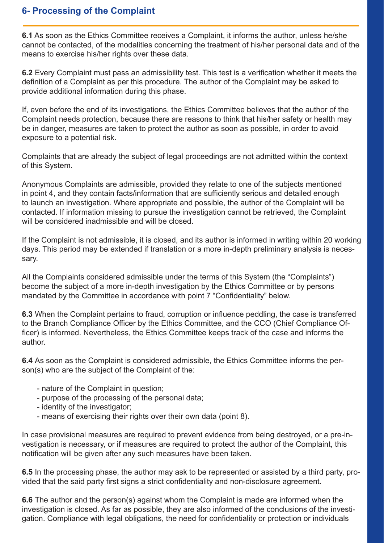#### **6- Processing of the Complaint**

**6.1** As soon as the Ethics Committee receives a Complaint, it informs the author, unless he/she cannot be contacted, of the modalities concerning the treatment of his/her personal data and of the means to exercise his/her rights over these data.

**6.2** Every Complaint must pass an admissibility test. This test is a verification whether it meets the definition of a Complaint as per this procedure. The author of the Complaint may be asked to provide additional information during this phase.

If, even before the end of its investigations, the Ethics Committee believes that the author of the Complaint needs protection, because there are reasons to think that his/her safety or health may be in danger, measures are taken to protect the author as soon as possible, in order to avoid exposure to a potential risk.

Complaints that are already the subject of legal proceedings are not admitted within the context of this System.

Anonymous Complaints are admissible, provided they relate to one of the subjects mentioned in point 4, and they contain facts/information that are sufficiently serious and detailed enough to launch an investigation. Where appropriate and possible, the author of the Complaint will be contacted. If information missing to pursue the investigation cannot be retrieved, the Complaint will be considered inadmissible and will be closed.

If the Complaint is not admissible, it is closed, and its author is informed in writing within 20 working days. This period may be extended if translation or a more in-depth preliminary analysis is necessary.

All the Complaints considered admissible under the terms of this System (the "Complaints") become the subject of a more in-depth investigation by the Ethics Committee or by persons mandated by the Committee in accordance with point 7 "Confidentiality" below.

**6.3** When the Complaint pertains to fraud, corruption or influence peddling, the case is transferred to the Branch Compliance Officer by the Ethics Committee, and the CCO (Chief Compliance Officer) is informed. Nevertheless, the Ethics Committee keeps track of the case and informs the author.

**6.4** As soon as the Complaint is considered admissible, the Ethics Committee informs the person(s) who are the subject of the Complaint of the:

- nature of the Complaint in question;
- purpose of the processing of the personal data;
- identity of the investigator;
- means of exercising their rights over their own data (point 8).

In case provisional measures are required to prevent evidence from being destroyed, or a pre-investigation is necessary, or if measures are required to protect the author of the Complaint, this notification will be given after any such measures have been taken.

**6.5** In the processing phase, the author may ask to be represented or assisted by a third party, provided that the said party first signs a strict confidentiality and non-disclosure agreement.

**6.6** The author and the person(s) against whom the Complaint is made are informed when the investigation is closed. As far as possible, they are also informed of the conclusions of the investigation. Compliance with legal obligations, the need for confidentiality or protection or individuals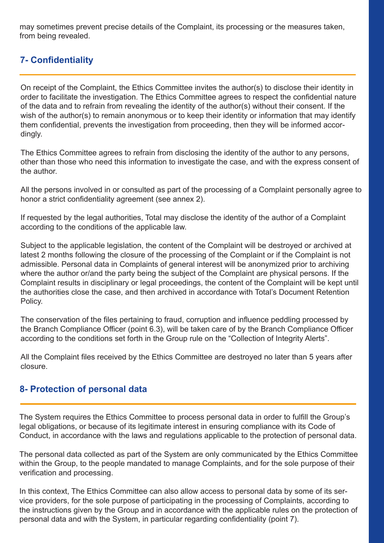may sometimes prevent precise details of the Complaint, its processing or the measures taken, from being revealed.

## **7- Confidentiality**

On receipt of the Complaint, the Ethics Committee invites the author(s) to disclose their identity in order to facilitate the investigation. The Ethics Committee agrees to respect the confidential nature of the data and to refrain from revealing the identity of the author(s) without their consent. If the wish of the author(s) to remain anonymous or to keep their identity or information that may identify them confidential, prevents the investigation from proceeding, then they will be informed accordingly.

The Ethics Committee agrees to refrain from disclosing the identity of the author to any persons, other than those who need this information to investigate the case, and with the express consent of the author.

All the persons involved in or consulted as part of the processing of a Complaint personally agree to honor a strict confidentiality agreement (see annex 2).

If requested by the legal authorities, Total may disclose the identity of the author of a Complaint according to the conditions of the applicable law.

Subject to the applicable legislation, the content of the Complaint will be destroyed or archived at latest 2 months following the closure of the processing of the Complaint or if the Complaint is not admissible. Personal data in Complaints of general interest will be anonymized prior to archiving where the author or/and the party being the subject of the Complaint are physical persons. If the Complaint results in disciplinary or legal proceedings, the content of the Complaint will be kept until the authorities close the case, and then archived in accordance with Total's Document Retention Policy.

The conservation of the files pertaining to fraud, corruption and influence peddling processed by the Branch Compliance Officer (point 6.3), will be taken care of by the Branch Compliance Officer according to the conditions set forth in the Group rule on the "Collection of Integrity Alerts".

All the Complaint files received by the Ethics Committee are destroyed no later than 5 years after closure.

#### **8- Protection of personal data**

The System requires the Ethics Committee to process personal data in order to fulfill the Group's legal obligations, or because of its legitimate interest in ensuring compliance with its Code of Conduct, in accordance with the laws and regulations applicable to the protection of personal data.

The personal data collected as part of the System are only communicated by the Ethics Committee within the Group, to the people mandated to manage Complaints, and for the sole purpose of their verification and processing.

In this context, The Ethics Committee can also allow access to personal data by some of its service providers, for the sole purpose of participating in the processing of Complaints, according to the instructions given by the Group and in accordance with the applicable rules on the protection of personal data and with the System, in particular regarding confidentiality (point 7).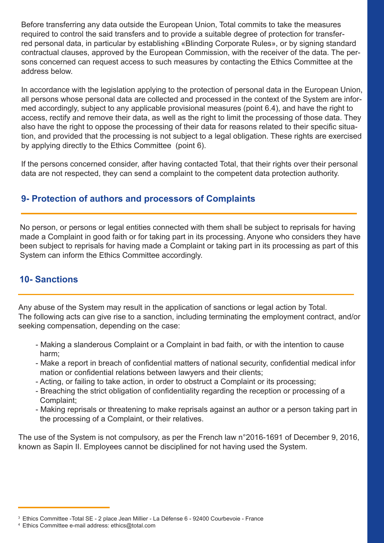Before transferring any data outside the European Union, Total commits to take the measures required to control the said transfers and to provide a suitable degree of protection for transferred personal data, in particular by establishing «Blinding Corporate Rules», or by signing standard contractual clauses, approved by the European Commission, with the receiver of the data. The persons concerned can request access to such measures by contacting the Ethics Committee at the address below.

In accordance with the legislation applying to the protection of personal data in the European Union, all persons whose personal data are collected and processed in the context of the System are informed accordingly, subject to any applicable provisional measures (point 6.4), and have the right to access, rectify and remove their data, as well as the right to limit the processing of those data. They also have the right to oppose the processing of their data for reasons related to their specific situation, and provided that the processing is not subject to a legal obligation. These rights are exercised by applying directly to the Ethics Committee (point 6).

If the persons concerned consider, after having contacted Total, that their rights over their personal data are not respected, they can send a complaint to the competent data protection authority.

## **9- Protection of authors and processors of Complaints**

No person, or persons or legal entities connected with them shall be subject to reprisals for having made a Complaint in good faith or for taking part in its processing. Anyone who considers they have been subject to reprisals for having made a Complaint or taking part in its processing as part of this System can inform the Ethics Committee accordingly.

#### **10- Sanctions**

Any abuse of the System may result in the application of sanctions or legal action by Total. The following acts can give rise to a sanction, including terminating the employment contract, and/or seeking compensation, depending on the case:

- Making a slanderous Complaint or a Complaint in bad faith, or with the intention to cause harm;
- Make a report in breach of confidential matters of national security, confidential medical infor mation or confidential relations between lawyers and their clients;
- Acting, or failing to take action, in order to obstruct a Complaint or its processing;
- Breaching the strict obligation of confidentiality regarding the reception or processing of a Complaint;
- Making reprisals or threatening to make reprisals against an author or a person taking part in the processing of a Complaint, or their relatives.

The use of the System is not compulsory, as per the French law n°2016-1691 of December 9, 2016, known as Sapin II. Employees cannot be disciplined for not having used the System.

<sup>&</sup>lt;sup>3</sup> Ethics Committee -Total SE - 2 place Jean Millier - La Défense 6 - 92400 Courbevoie - France

<sup>4</sup> Ethics Committee e-mail address: ethics@total.com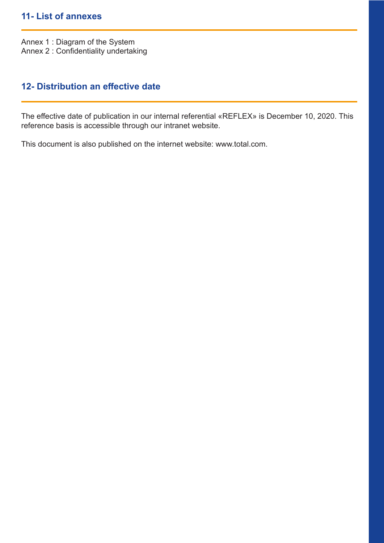#### **11- List of annexes**

Annex 1 : Diagram of the System Annex 2 : Confidentiality undertaking

## **12- Distribution an effective date**

The effective date of publication in our internal referential «REFLEX» is December 10, 2020. This reference basis is accessible through our intranet website.

This document is also published on the internet website: www.total.com.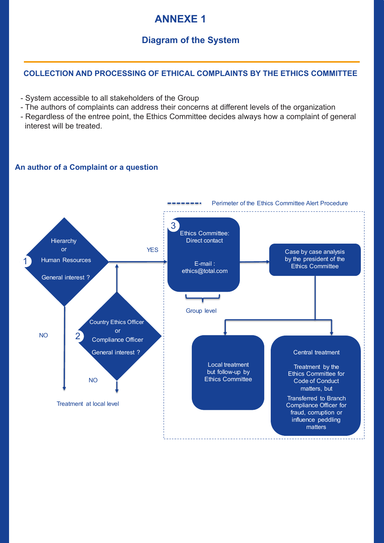# **ANNEXE 1**

# **Diagram of the System**

#### **COLLECTION AND PROCESSING OF ETHICAL COMPLAINTS BY THE ETHICS COMMITTEE**

- System accessible to all stakeholders of the Group
- The authors of complaints can address their concerns at different levels of the organization
- Regardless of the entree point, the Ethics Committee decides always how a complaint of general interest will be treated.

#### **An author of a Complaint or a question**